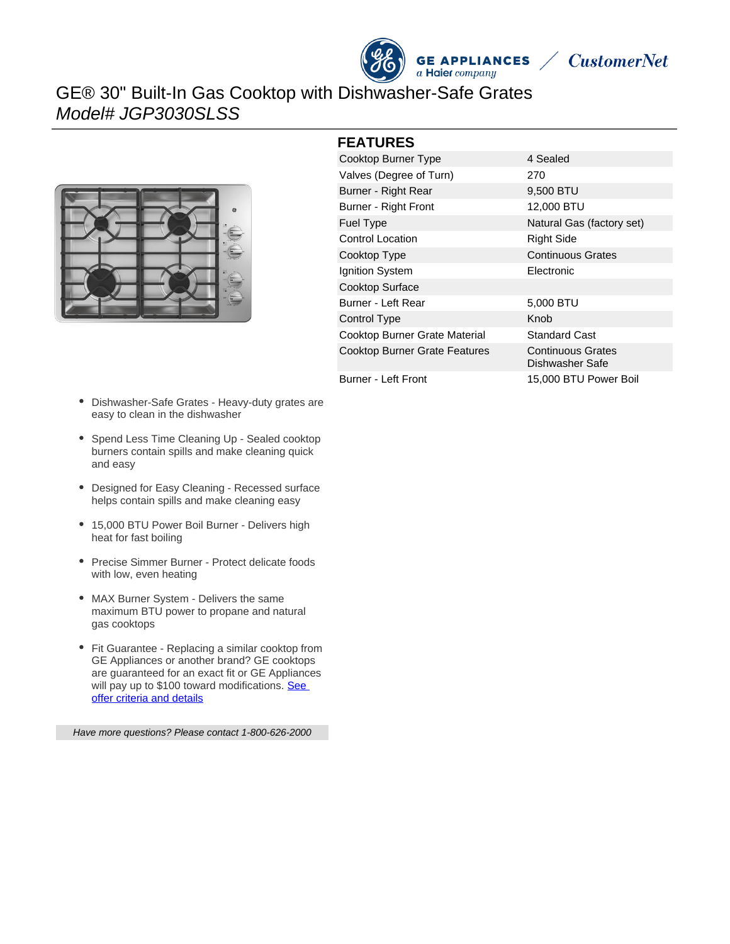



## GE® 30" Built-In Gas Cooktop with Dishwasher-Safe Grates Model# JGP3030SLSS



#### **FEATURES**

| Cooktop Burner Type                  | 4 Sealed                                    |
|--------------------------------------|---------------------------------------------|
| Valves (Degree of Turn)              | 270                                         |
| Burner - Right Rear                  | 9,500 BTU                                   |
| Burner - Right Front                 | 12,000 BTU                                  |
| Fuel Type                            | Natural Gas (factory set)                   |
| <b>Control Location</b>              | <b>Right Side</b>                           |
| Cooktop Type                         | <b>Continuous Grates</b>                    |
| Ignition System                      | Electronic                                  |
| Cooktop Surface                      |                                             |
| Burner - Left Rear                   | 5,000 BTU                                   |
| Control Type                         | Knob                                        |
| Cooktop Burner Grate Material        | <b>Standard Cast</b>                        |
| <b>Cooktop Burner Grate Features</b> | <b>Continuous Grates</b><br>Dishwasher Safe |
| Burner - Left Front                  | 15,000 BTU Power Boil                       |

- Dishwasher-Safe Grates Heavy-duty grates are easy to clean in the dishwasher
- Spend Less Time Cleaning Up Sealed cooktop burners contain spills and make cleaning quick and easy
- Designed for Easy Cleaning Recessed surface helps contain spills and make cleaning easy
- 15,000 BTU Power Boil Burner Delivers high heat for fast boiling
- Precise Simmer Burner Protect delicate foods with low, even heating
- MAX Burner System Delivers the same maximum BTU power to propane and natural gas cooktops
- Fit Guarantee Replacing a similar cooktop from GE Appliances or another brand? GE cooktops are guaranteed for an exact fit or GE Appliances will pay up to \$100 toward modifications. See [offer criteria and details](http://www.geappliances.com/ge/cooktops/built_in_cooktop_rebate.pdf)

Have more questions? Please contact 1-800-626-2000